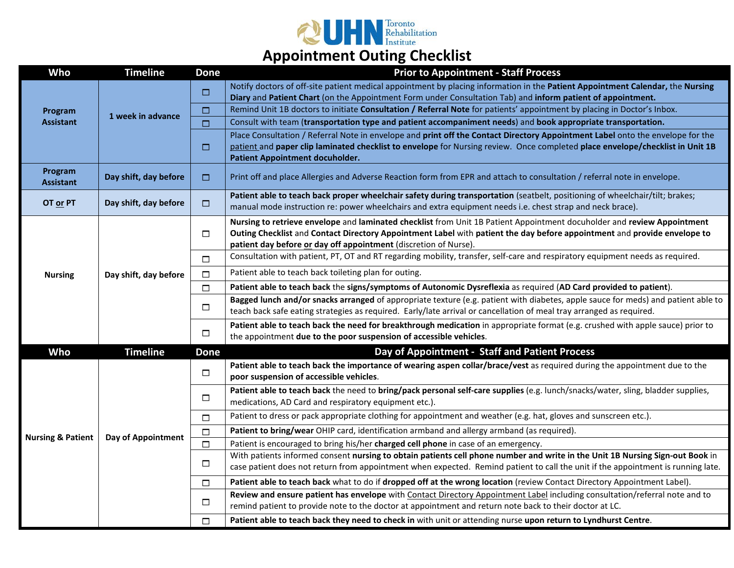

| Who                          | <b>Timeline</b>       | <b>Done</b> | <b>Prior to Appointment - Staff Process</b>                                                                                                                                                                                                                                                                             |
|------------------------------|-----------------------|-------------|-------------------------------------------------------------------------------------------------------------------------------------------------------------------------------------------------------------------------------------------------------------------------------------------------------------------------|
| Program<br><b>Assistant</b>  | 1 week in advance     | $\Box$      | Notify doctors of off-site patient medical appointment by placing information in the Patient Appointment Calendar, the Nursing<br>Diary and Patient Chart (on the Appointment Form under Consultation Tab) and inform patient of appointment.                                                                           |
|                              |                       | □           | Remind Unit 1B doctors to initiate Consultation / Referral Note for patients' appointment by placing in Doctor's Inbox.                                                                                                                                                                                                 |
|                              |                       | □           | Consult with team (transportation type and patient accompaniment needs) and book appropriate transportation.                                                                                                                                                                                                            |
|                              |                       | □           | Place Consultation / Referral Note in envelope and print off the Contact Directory Appointment Label onto the envelope for the<br>patient and paper clip laminated checklist to envelope for Nursing review. Once completed place envelope/checklist in Unit 1B<br>Patient Appointment docuholder.                      |
| Program<br><b>Assistant</b>  | Day shift, day before | $\Box$      | Print off and place Allergies and Adverse Reaction form from EPR and attach to consultation / referral note in envelope.                                                                                                                                                                                                |
| OT or PT                     | Day shift, day before | $\Box$      | Patient able to teach back proper wheelchair safety during transportation (seatbelt, positioning of wheelchair/tilt; brakes;<br>manual mode instruction re: power wheelchairs and extra equipment needs i.e. chest strap and neck brace).                                                                               |
| <b>Nursing</b>               | Day shift, day before | $\Box$      | Nursing to retrieve envelope and laminated checklist from Unit 1B Patient Appointment docuholder and review Appointment<br>Outing Checklist and Contact Directory Appointment Label with patient the day before appointment and provide envelope to<br>patient day before or day off appointment (discretion of Nurse). |
|                              |                       | $\Box$      | Consultation with patient, PT, OT and RT regarding mobility, transfer, self-care and respiratory equipment needs as required.                                                                                                                                                                                           |
|                              |                       | $\Box$      | Patient able to teach back toileting plan for outing.                                                                                                                                                                                                                                                                   |
|                              |                       | □           | Patient able to teach back the signs/symptoms of Autonomic Dysreflexia as required (AD Card provided to patient).                                                                                                                                                                                                       |
|                              |                       | $\Box$      | Bagged lunch and/or snacks arranged of appropriate texture (e.g. patient with diabetes, apple sauce for meds) and patient able to<br>teach back safe eating strategies as required. Early/late arrival or cancellation of meal tray arranged as required.                                                               |
|                              |                       | $\Box$      | Patient able to teach back the need for breakthrough medication in appropriate format (e.g. crushed with apple sauce) prior to<br>the appointment due to the poor suspension of accessible vehicles.                                                                                                                    |
| Who                          | <b>Timeline</b>       | <b>Done</b> | Day of Appointment - Staff and Patient Process                                                                                                                                                                                                                                                                          |
| <b>Nursing &amp; Patient</b> | Day of Appointment    | $\Box$      | Patient able to teach back the importance of wearing aspen collar/brace/vest as required during the appointment due to the<br>poor suspension of accessible vehicles.                                                                                                                                                   |
|                              |                       | $\Box$      | Patient able to teach back the need to bring/pack personal self-care supplies (e.g. lunch/snacks/water, sling, bladder supplies,<br>medications, AD Card and respiratory equipment etc.).                                                                                                                               |
|                              |                       | $\Box$      | Patient to dress or pack appropriate clothing for appointment and weather (e.g. hat, gloves and sunscreen etc.).                                                                                                                                                                                                        |
|                              |                       | $\Box$      | Patient to bring/wear OHIP card, identification armband and allergy armband (as required).                                                                                                                                                                                                                              |
|                              |                       | $\Box$      | Patient is encouraged to bring his/her charged cell phone in case of an emergency.                                                                                                                                                                                                                                      |
|                              |                       | $\Box$      | With patients informed consent nursing to obtain patients cell phone number and write in the Unit 1B Nursing Sign-out Book in<br>case patient does not return from appointment when expected. Remind patient to call the unit if the appointment is running late.                                                       |
|                              |                       | $\Box$      | Patient able to teach back what to do if dropped off at the wrong location (review Contact Directory Appointment Label).                                                                                                                                                                                                |
|                              |                       | $\Box$      | Review and ensure patient has envelope with Contact Directory Appointment Label including consultation/referral note and to<br>remind patient to provide note to the doctor at appointment and return note back to their doctor at LC.                                                                                  |
|                              |                       | $\Box$      | Patient able to teach back they need to check in with unit or attending nurse upon return to Lyndhurst Centre.                                                                                                                                                                                                          |